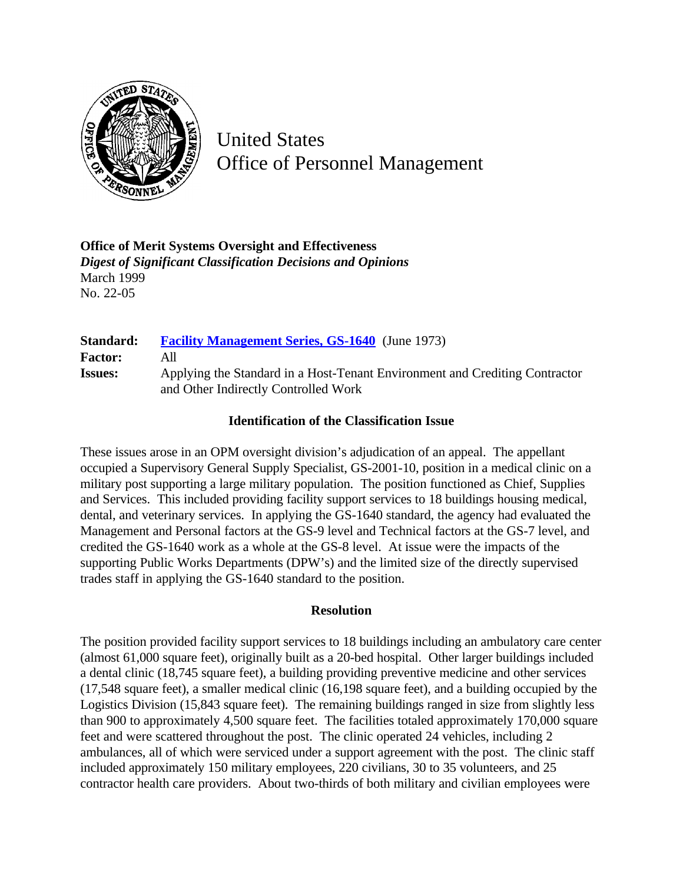

United States Office of Personnel Management

**Office of Merit Systems Oversight and Effectiveness** *Digest of Significant Classification Decisions and Opinions* March 1999 No. 22-05

| <b>Standard:</b> | <b>Facility Management Series, GS-1640</b> (June 1973)                                                              |
|------------------|---------------------------------------------------------------------------------------------------------------------|
| <b>Factor:</b>   | All                                                                                                                 |
| <b>Issues:</b>   | Applying the Standard in a Host-Tenant Environment and Crediting Contractor<br>and Other Indirectly Controlled Work |

### **Identification of the Classification Issue**

These issues arose in an OPM oversight division's adjudication of an appeal. The appellant occupied a Supervisory General Supply Specialist, GS-2001-10, position in a medical clinic on a military post supporting a large military population. The position functioned as Chief, Supplies and Services. This included providing facility support services to 18 buildings housing medical, dental, and veterinary services. In applying the GS-1640 standard, the agency had evaluated the Management and Personal factors at the GS-9 level and Technical factors at the GS-7 level, and credited the GS-1640 work as a whole at the GS-8 level. At issue were the impacts of the supporting Public Works Departments (DPW's) and the limited size of the directly supervised trades staff in applying the GS-1640 standard to the position.

#### **Resolution**

The position provided facility support services to 18 buildings including an ambulatory care center (almost 61,000 square feet), originally built as a 20-bed hospital. Other larger buildings included a dental clinic (18,745 square feet), a building providing preventive medicine and other services (17,548 square feet), a smaller medical clinic (16,198 square feet), and a building occupied by the Logistics Division (15,843 square feet). The remaining buildings ranged in size from slightly less than 900 to approximately 4,500 square feet. The facilities totaled approximately 170,000 square feet and were scattered throughout the post. The clinic operated 24 vehicles, including 2 ambulances, all of which were serviced under a support agreement with the post. The clinic staff included approximately 150 military employees, 220 civilians, 30 to 35 volunteers, and 25 contractor health care providers. About two-thirds of both military and civilian employees were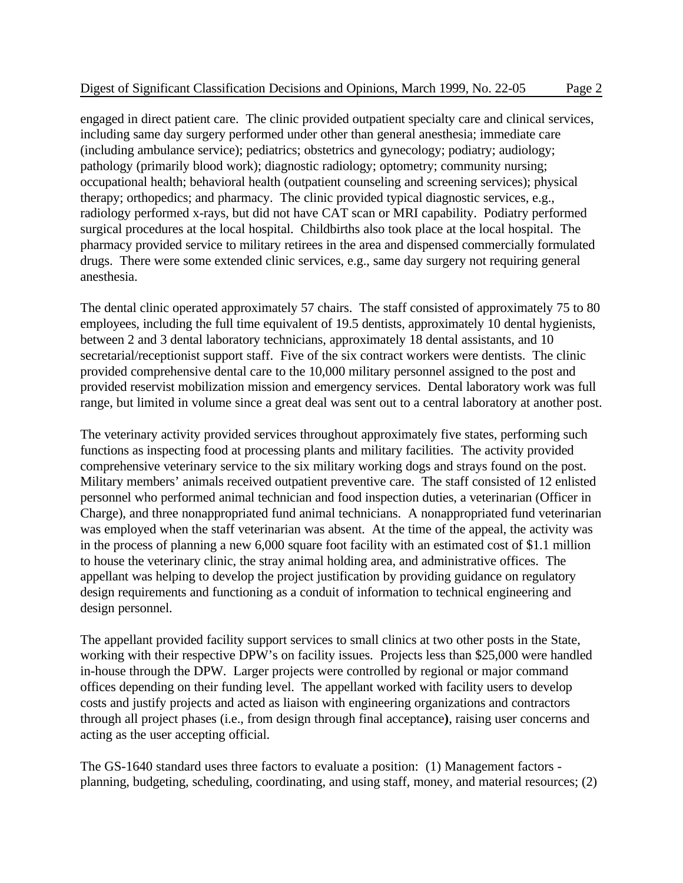engaged in direct patient care. The clinic provided outpatient specialty care and clinical services, including same day surgery performed under other than general anesthesia; immediate care (including ambulance service); pediatrics; obstetrics and gynecology; podiatry; audiology; pathology (primarily blood work); diagnostic radiology; optometry; community nursing; occupational health; behavioral health (outpatient counseling and screening services); physical therapy; orthopedics; and pharmacy. The clinic provided typical diagnostic services, e.g., radiology performed x-rays, but did not have CAT scan or MRI capability. Podiatry performed surgical procedures at the local hospital. Childbirths also took place at the local hospital. The pharmacy provided service to military retirees in the area and dispensed commercially formulated drugs. There were some extended clinic services, e.g., same day surgery not requiring general anesthesia.

The dental clinic operated approximately 57 chairs. The staff consisted of approximately 75 to 80 employees, including the full time equivalent of 19.5 dentists, approximately 10 dental hygienists, between 2 and 3 dental laboratory technicians, approximately 18 dental assistants, and 10 secretarial/receptionist support staff. Five of the six contract workers were dentists. The clinic provided comprehensive dental care to the 10,000 military personnel assigned to the post and provided reservist mobilization mission and emergency services. Dental laboratory work was full range, but limited in volume since a great deal was sent out to a central laboratory at another post.

The veterinary activity provided services throughout approximately five states, performing such functions as inspecting food at processing plants and military facilities. The activity provided comprehensive veterinary service to the six military working dogs and strays found on the post. Military members' animals received outpatient preventive care. The staff consisted of 12 enlisted personnel who performed animal technician and food inspection duties, a veterinarian (Officer in Charge), and three nonappropriated fund animal technicians. A nonappropriated fund veterinarian was employed when the staff veterinarian was absent. At the time of the appeal, the activity was in the process of planning a new 6,000 square foot facility with an estimated cost of \$1.1 million to house the veterinary clinic, the stray animal holding area, and administrative offices. The appellant was helping to develop the project justification by providing guidance on regulatory design requirements and functioning as a conduit of information to technical engineering and design personnel.

The appellant provided facility support services to small clinics at two other posts in the State, working with their respective DPW's on facility issues. Projects less than \$25,000 were handled in-house through the DPW. Larger projects were controlled by regional or major command offices depending on their funding level. The appellant worked with facility users to develop costs and justify projects and acted as liaison with engineering organizations and contractors through all project phases (i.e., from design through final acceptance**)**, raising user concerns and acting as the user accepting official.

The GS-1640 standard uses three factors to evaluate a position: (1) Management factors planning, budgeting, scheduling, coordinating, and using staff, money, and material resources; (2)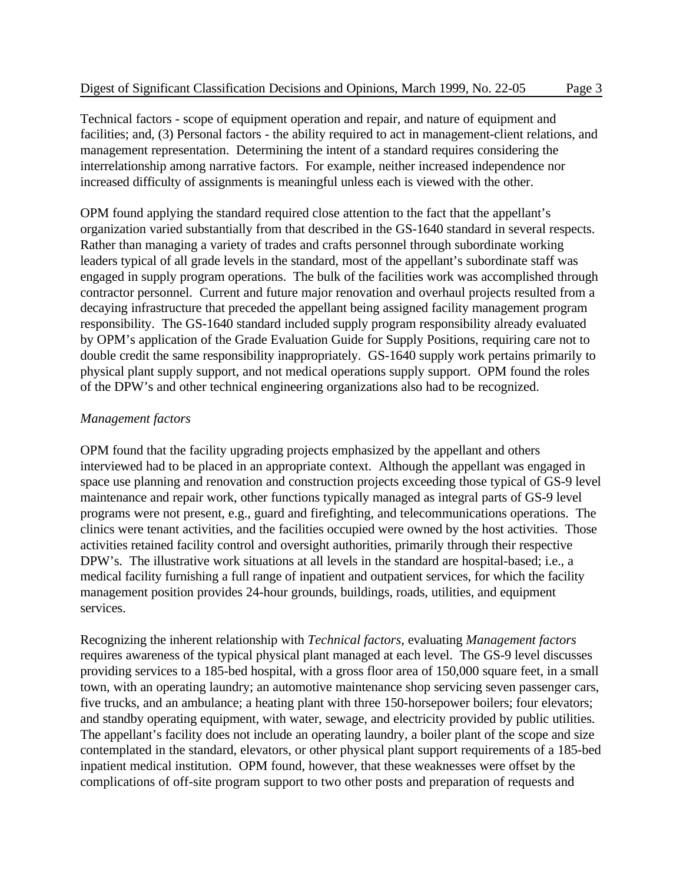Technical factors - scope of equipment operation and repair, and nature of equipment and facilities; and, (3) Personal factors - the ability required to act in management-client relations, and management representation. Determining the intent of a standard requires considering the interrelationship among narrative factors. For example, neither increased independence nor increased difficulty of assignments is meaningful unless each is viewed with the other.

OPM found applying the standard required close attention to the fact that the appellant's organization varied substantially from that described in the GS-1640 standard in several respects. Rather than managing a variety of trades and crafts personnel through subordinate working leaders typical of all grade levels in the standard, most of the appellant's subordinate staff was engaged in supply program operations. The bulk of the facilities work was accomplished through contractor personnel. Current and future major renovation and overhaul projects resulted from a decaying infrastructure that preceded the appellant being assigned facility management program responsibility. The GS-1640 standard included supply program responsibility already evaluated by OPM's application of the Grade Evaluation Guide for Supply Positions, requiring care not to double credit the same responsibility inappropriately. GS-1640 supply work pertains primarily to physical plant supply support, and not medical operations supply support. OPM found the roles of the DPW's and other technical engineering organizations also had to be recognized.

# *Management factors*

OPM found that the facility upgrading projects emphasized by the appellant and others interviewed had to be placed in an appropriate context. Although the appellant was engaged in space use planning and renovation and construction projects exceeding those typical of GS-9 level maintenance and repair work, other functions typically managed as integral parts of GS-9 level programs were not present, e.g., guard and firefighting, and telecommunications operations. The clinics were tenant activities, and the facilities occupied were owned by the host activities. Those activities retained facility control and oversight authorities, primarily through their respective DPW's. The illustrative work situations at all levels in the standard are hospital-based; i.e., a medical facility furnishing a full range of inpatient and outpatient services, for which the facility management position provides 24-hour grounds, buildings, roads, utilities, and equipment services.

Recognizing the inherent relationship with *Technical factors*, evaluating *Management factors* requires awareness of the typical physical plant managed at each level. The GS-9 level discusses providing services to a 185-bed hospital, with a gross floor area of 150,000 square feet, in a small town, with an operating laundry; an automotive maintenance shop servicing seven passenger cars, five trucks, and an ambulance; a heating plant with three 150-horsepower boilers; four elevators; and standby operating equipment, with water, sewage, and electricity provided by public utilities. The appellant's facility does not include an operating laundry, a boiler plant of the scope and size contemplated in the standard, elevators, or other physical plant support requirements of a 185-bed inpatient medical institution. OPM found, however, that these weaknesses were offset by the complications of off-site program support to two other posts and preparation of requests and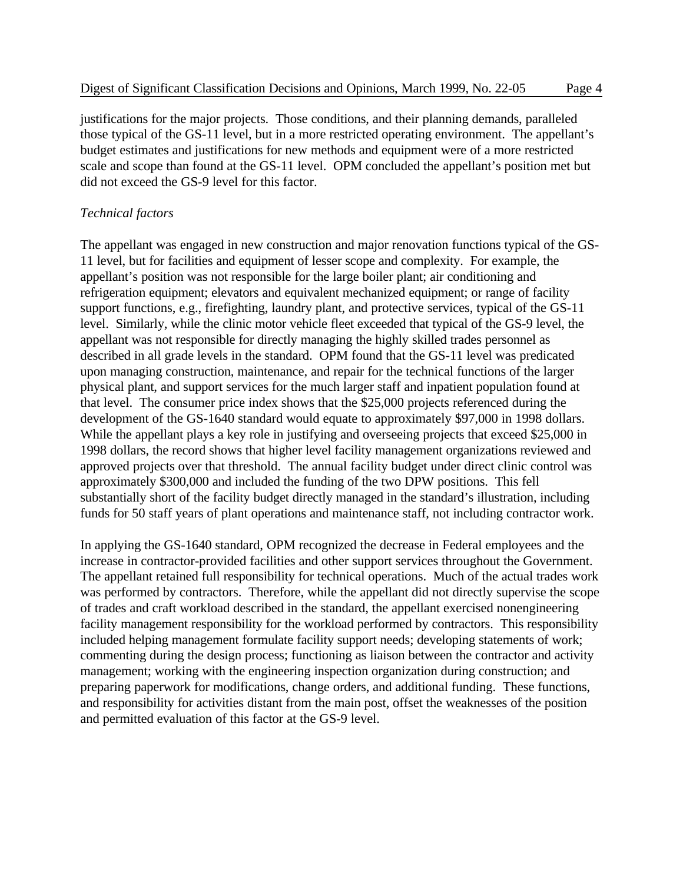justifications for the major projects. Those conditions, and their planning demands, paralleled those typical of the GS-11 level, but in a more restricted operating environment. The appellant's budget estimates and justifications for new methods and equipment were of a more restricted scale and scope than found at the GS-11 level. OPM concluded the appellant's position met but did not exceed the GS-9 level for this factor.

#### *Technical factors*

The appellant was engaged in new construction and major renovation functions typical of the GS-11 level, but for facilities and equipment of lesser scope and complexity. For example, the appellant's position was not responsible for the large boiler plant; air conditioning and refrigeration equipment; elevators and equivalent mechanized equipment; or range of facility support functions, e.g., firefighting, laundry plant, and protective services, typical of the GS-11 level. Similarly, while the clinic motor vehicle fleet exceeded that typical of the GS-9 level, the appellant was not responsible for directly managing the highly skilled trades personnel as described in all grade levels in the standard. OPM found that the GS-11 level was predicated upon managing construction, maintenance, and repair for the technical functions of the larger physical plant, and support services for the much larger staff and inpatient population found at that level. The consumer price index shows that the \$25,000 projects referenced during the development of the GS-1640 standard would equate to approximately \$97,000 in 1998 dollars. While the appellant plays a key role in justifying and overseeing projects that exceed \$25,000 in 1998 dollars, the record shows that higher level facility management organizations reviewed and approved projects over that threshold. The annual facility budget under direct clinic control was approximately \$300,000 and included the funding of the two DPW positions. This fell substantially short of the facility budget directly managed in the standard's illustration, including funds for 50 staff years of plant operations and maintenance staff, not including contractor work.

In applying the GS-1640 standard, OPM recognized the decrease in Federal employees and the increase in contractor-provided facilities and other support services throughout the Government. The appellant retained full responsibility for technical operations. Much of the actual trades work was performed by contractors. Therefore, while the appellant did not directly supervise the scope of trades and craft workload described in the standard, the appellant exercised nonengineering facility management responsibility for the workload performed by contractors. This responsibility included helping management formulate facility support needs; developing statements of work; commenting during the design process; functioning as liaison between the contractor and activity management; working with the engineering inspection organization during construction; and preparing paperwork for modifications, change orders, and additional funding. These functions, and responsibility for activities distant from the main post, offset the weaknesses of the position and permitted evaluation of this factor at the GS-9 level.